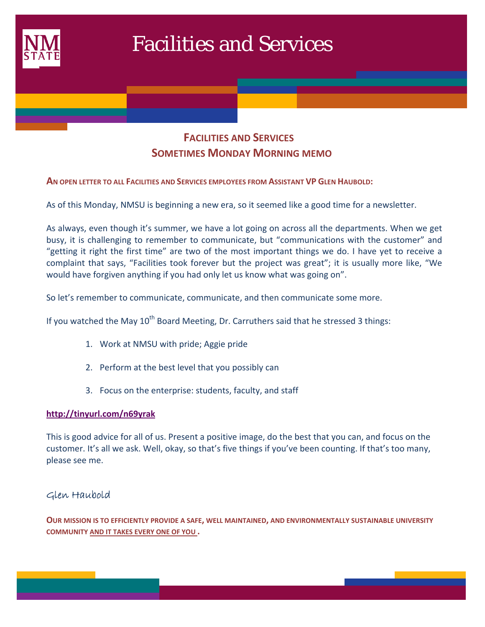

## **FACILITIES AND SERVICES SOMETIMES MONDAY MORNING MEMO**

### **AN OPEN LETTER TO ALL FACILITIES AND SERVICES EMPLOYEES FROM ASSISTANT VP GLEN HAUBOLD:**

As of this Monday, NMSU is beginning a new era, so it seemed like a good time for a newsletter.

As always, even though it's summer, we have a lot going on across all the departments. When we get busy, it is challenging to remember to communicate, but "communications with the customer" and "getting it right the first time" are two of the most important things we do. I have yet to receive a complaint that says, "Facilities took forever but the project was great"; it is usually more like, "We would have forgiven anything if you had only let us know what was going on".

So let's remember to communicate, communicate, and then communicate some more.

If you watched the May  $10^{th}$  Board Meeting, Dr. Carruthers said that he stressed 3 things:

- 1. Work at NMSU with pride; Aggie pride
- 2. Perform at the best level that you possibly can
- 3. Focus on the enterprise: students, faculty, and staff

#### **http://tinyurl.com/n69yrak**

This is good advice for all of us. Present a positive image, do the best that you can, and focus on the customer. It's all we ask. Well, okay, so that's five things if you've been counting. If that's too many, please see me.

## Glen Haubold

**OUR MISSION IS TO EFFICIENTLY PROVIDE A SAFE, WELL MAINTAINED, AND ENVIRONMENTALLY SUSTAINABLE UNIVERSITY COMMUNITY AND IT TAKES EVERY ONE OF YOU .**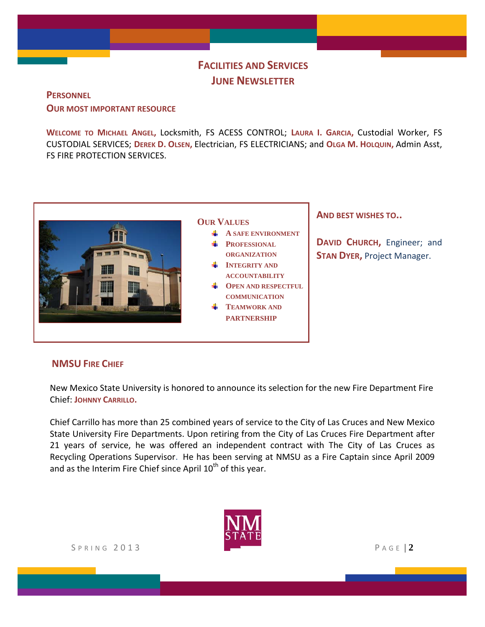# **FACILITIES AND SERVICES JUNE NEWSLETTER**

**PERSONNEL**

**OUR MOST IMPORTANT RESOURCE**

**WELCOME TO MICHAEL ANGEL,** Locksmith, FS ACESS CONTROL; **LAURA I. GARCIA,** Custodial Worker, FS CUSTODIAL SERVICES; **DEREK D. OLSEN,** Electrician, FS ELECTRICIANS; and **OLGA M. HOLQUIN,** Admin Asst, FS FIRE PROTECTION SERVICES.



## **AND BEST WISHES TO..**

**DAVID CHURCH,** Engineer; and **STAN DYER,** Project Manager.

## **NMSU FIRE CHIEF**

New Mexico State University is honored to announce its selection for the new Fire Department Fire Chief: **JOHNNY CARRILLO.**

Chief Carrillo has more than 25 combined years of service to the City of Las Cruces and New Mexico State University Fire Departments. Upon retiring from the City of Las Cruces Fire Department after 21 years of service, he was offered an independent contract with The City of Las Cruces as Recycling Operations Supervisor. He has been serving at NMSU as a Fire Captain since April 2009 and as the Interim Fire Chief since April  $10<sup>th</sup>$  of this year.

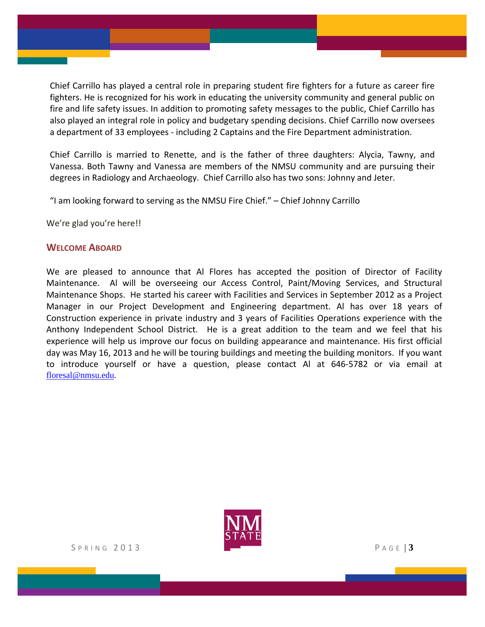Chief Carrillo has played a central role in preparing student fire fighters for a future as career fire fighters. He is recognized for his work in educating the university community and general public on fire and life safety issues. In addition to promoting safety messages to the public, Chief Carrillo has also played an integral role in policy and budgetary spending decisions. Chief Carrillo now oversees a department of 33 employees - including 2 Captains and the Fire Department administration.

Chief Carrillo is married to Renette, and is the father of three daughters: Alycia, Tawny, and Vanessa. Both Tawny and Vanessa are members of the NMSU community and are pursuing their degrees in Radiology and Archaeology. Chief Carrillo also has two sons: Johnny and Jeter.

"I am looking forward to serving as the NMSU Fire Chief." – Chief Johnny Carrillo

We're glad you're here!!

## **WELCOME ABOARD**

We are pleased to announce that Al Flores has accepted the position of Director of Facility Maintenance. Al will be overseeing our Access Control, Paint/Moving Services, and Structural Maintenance Shops. He started his career with Facilities and Services in September 2012 as a Project Manager in our Project Development and Engineering department. Al has over 18 years of Construction experience in private industry and 3 years of Facilities Operations experience with the Anthony Independent School District. He is a great addition to the team and we feel that his experience will help us improve our focus on building appearance and maintenance. His first official day was May 16, 2013 and he will be touring buildings and meeting the building monitors. If you want to introduce yourself or have a question, please contact Al at 646-5782 or via email at floresal@nmsu.edu.

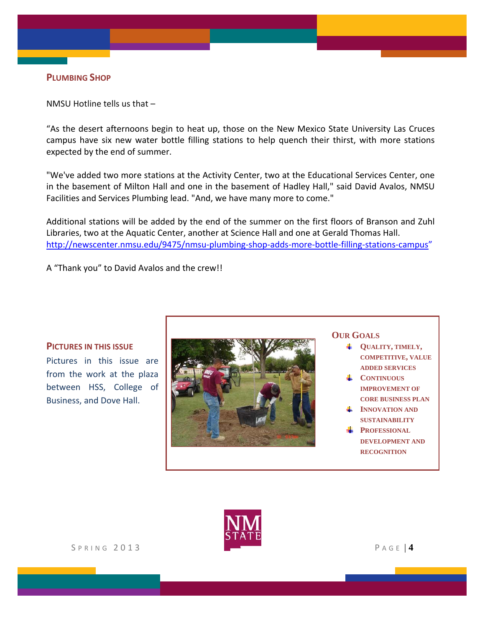## **PLUMBING SHOP**

NMSU Hotline tells us that –

"As the desert afternoons begin to heat up, those on the New Mexico State University Las Cruces campus have six new water bottle filling stations to help quench their thirst, with more stations expected by the end of summer.

"We've added two more stations at the Activity Center, two at the Educational Services Center, one in the basement of Milton Hall and one in the basement of Hadley Hall," said David Avalos, NMSU Facilities and Services Plumbing lead. "And, we have many more to come."

Additional stations will be added by the end of the summer on the first floors of Branson and Zuhl Libraries, two at the Aquatic Center, another at Science Hall and one at Gerald Thomas Hall. http://newscenter.nmsu.edu/9475/nmsu-plumbing-shop-adds-more-bottle-filling-stations-campus"

A "Thank you" to David Avalos and the crew!!

#### **PICTURES IN THIS ISSUE**

Pictures in this issue are from the work at the plaza between HSS, College of Business, and Dove Hall.



## **OUR GOALS**

- **QUALITY, TIMELY, COMPETITIVE, VALUE ADDED SERVICES**
- **CONTINUOUS IMPROVEMENT OF CORE BUSINESS PLAN**
- **INNOVATION AND SUSTAINABILITY**
- **PROFESSIONAL DEVELOPMENT AND RECOGNITION**